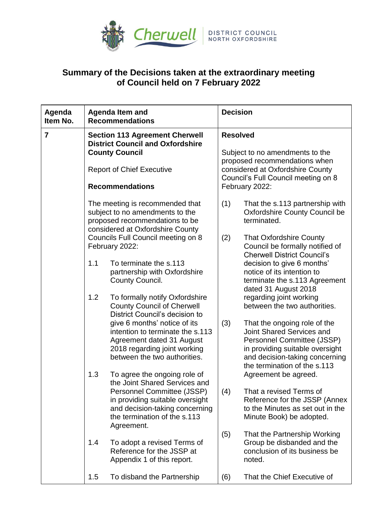

## **Summary of the Decisions taken at the extraordinary meeting of Council held on 7 February 2022**

| Agenda<br>Item No. | <b>Agenda Item and</b><br><b>Recommendations</b>                                                                                                                        |                                                                                                                                                                                                                | <b>Decision</b>                                                                                                                                                                  |                                                                                                                                                                                              |
|--------------------|-------------------------------------------------------------------------------------------------------------------------------------------------------------------------|----------------------------------------------------------------------------------------------------------------------------------------------------------------------------------------------------------------|----------------------------------------------------------------------------------------------------------------------------------------------------------------------------------|----------------------------------------------------------------------------------------------------------------------------------------------------------------------------------------------|
| $\overline{7}$     | <b>Section 113 Agreement Cherwell</b><br><b>District Council and Oxfordshire</b><br><b>County Council</b><br><b>Report of Chief Executive</b><br><b>Recommendations</b> |                                                                                                                                                                                                                | <b>Resolved</b><br>Subject to no amendments to the<br>proposed recommendations when<br>considered at Oxfordshire County<br>Council's Full Council meeting on 8<br>February 2022: |                                                                                                                                                                                              |
|                    |                                                                                                                                                                         |                                                                                                                                                                                                                |                                                                                                                                                                                  |                                                                                                                                                                                              |
|                    |                                                                                                                                                                         | The meeting is recommended that<br>subject to no amendments to the<br>proposed recommendations to be<br>considered at Oxfordshire County                                                                       | (1)                                                                                                                                                                              | That the s.113 partnership with<br><b>Oxfordshire County Council be</b><br>terminated.                                                                                                       |
|                    |                                                                                                                                                                         | Councils Full Council meeting on 8<br>February 2022:                                                                                                                                                           | (2)                                                                                                                                                                              | <b>That Oxfordshire County</b><br>Council be formally notified of<br><b>Cherwell District Council's</b>                                                                                      |
|                    | 1.1                                                                                                                                                                     | To terminate the s.113<br>partnership with Oxfordshire<br>County Council.                                                                                                                                      |                                                                                                                                                                                  | decision to give 6 months'<br>notice of its intention to<br>terminate the s.113 Agreement<br>dated 31 August 2018                                                                            |
|                    | 1.2                                                                                                                                                                     | To formally notify Oxfordshire<br><b>County Council of Cherwell</b><br>District Council's decision to                                                                                                          |                                                                                                                                                                                  | regarding joint working<br>between the two authorities.                                                                                                                                      |
|                    |                                                                                                                                                                         | give 6 months' notice of its<br>intention to terminate the s.113<br>Agreement dated 31 August<br>2018 regarding joint working<br>between the two authorities.                                                  | (3)                                                                                                                                                                              | That the ongoing role of the<br>Joint Shared Services and<br>Personnel Committee (JSSP)<br>in providing suitable oversight<br>and decision-taking concerning<br>the termination of the s.113 |
|                    | 1.3                                                                                                                                                                     | To agree the ongoing role of<br>the Joint Shared Services and<br>Personnel Committee (JSSP)<br>in providing suitable oversight<br>and decision-taking concerning<br>the termination of the s.113<br>Agreement. | (4)                                                                                                                                                                              | Agreement be agreed.<br>That a revised Terms of<br>Reference for the JSSP (Annex<br>to the Minutes as set out in the<br>Minute Book) be adopted.                                             |
|                    | 1.4                                                                                                                                                                     | To adopt a revised Terms of<br>Reference for the JSSP at<br>Appendix 1 of this report.                                                                                                                         | (5)                                                                                                                                                                              | That the Partnership Working<br>Group be disbanded and the<br>conclusion of its business be<br>noted.                                                                                        |
|                    | 1.5                                                                                                                                                                     | To disband the Partnership                                                                                                                                                                                     | (6)                                                                                                                                                                              | That the Chief Executive of                                                                                                                                                                  |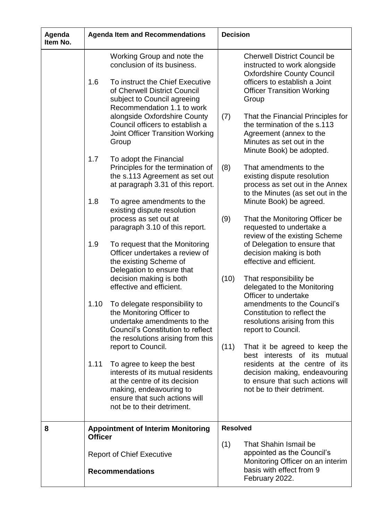| Agenda<br>Item No. | <b>Agenda Item and Recommendations</b>                                                                                                                                                                                  | <b>Decision</b>                                                                                                                                                                                            |  |
|--------------------|-------------------------------------------------------------------------------------------------------------------------------------------------------------------------------------------------------------------------|------------------------------------------------------------------------------------------------------------------------------------------------------------------------------------------------------------|--|
|                    | Working Group and note the<br>conclusion of its business.<br>1.6<br>To instruct the Chief Executive<br>of Cherwell District Council<br>subject to Council agreeing<br>Recommendation 1.1 to work                        | <b>Cherwell District Council be</b><br>instructed to work alongside<br><b>Oxfordshire County Council</b><br>officers to establish a Joint<br><b>Officer Transition Working</b><br>Group                    |  |
|                    | alongside Oxfordshire County<br>Council officers to establish a<br><b>Joint Officer Transition Working</b><br>Group                                                                                                     | (7)<br>That the Financial Principles for<br>the termination of the s.113<br>Agreement (annex to the<br>Minutes as set out in the<br>Minute Book) be adopted.                                               |  |
|                    | 1.7<br>To adopt the Financial<br>Principles for the termination of<br>the s.113 Agreement as set out<br>at paragraph 3.31 of this report.                                                                               | That amendments to the<br>(8)<br>existing dispute resolution<br>process as set out in the Annex<br>to the Minutes (as set out in the                                                                       |  |
|                    | 1.8<br>To agree amendments to the<br>existing dispute resolution<br>process as set out at<br>paragraph 3.10 of this report.                                                                                             | Minute Book) be agreed.<br>(9)<br>That the Monitoring Officer be<br>requested to undertake a<br>review of the existing Scheme                                                                              |  |
|                    | 1.9<br>To request that the Monitoring<br>Officer undertakes a review of<br>the existing Scheme of<br>Delegation to ensure that<br>decision making is both                                                               | of Delegation to ensure that<br>decision making is both<br>effective and efficient.<br>(10)<br>That responsibility be                                                                                      |  |
|                    | effective and efficient.<br>To delegate responsibility to<br>1.10<br>the Monitoring Officer to<br>undertake amendments to the<br>Council's Constitution to reflect<br>the resolutions arising from this                 | delegated to the Monitoring<br>Officer to undertake<br>amendments to the Council's<br>Constitution to reflect the<br>resolutions arising from this<br>report to Council.                                   |  |
|                    | report to Council.<br>To agree to keep the best<br>1.11<br>interests of its mutual residents<br>at the centre of its decision<br>making, endeavouring to<br>ensure that such actions will<br>not be to their detriment. | (11)<br>That it be agreed to keep the<br>best interests of its mutual<br>residents at the centre of its<br>decision making, endeavouring<br>to ensure that such actions will<br>not be to their detriment. |  |
| 8                  | <b>Appointment of Interim Monitoring</b><br><b>Officer</b>                                                                                                                                                              | <b>Resolved</b>                                                                                                                                                                                            |  |
|                    | <b>Report of Chief Executive</b><br><b>Recommendations</b>                                                                                                                                                              | (1)<br>That Shahin Ismail be<br>appointed as the Council's<br>Monitoring Officer on an interim<br>basis with effect from 9                                                                                 |  |
|                    |                                                                                                                                                                                                                         | February 2022.                                                                                                                                                                                             |  |